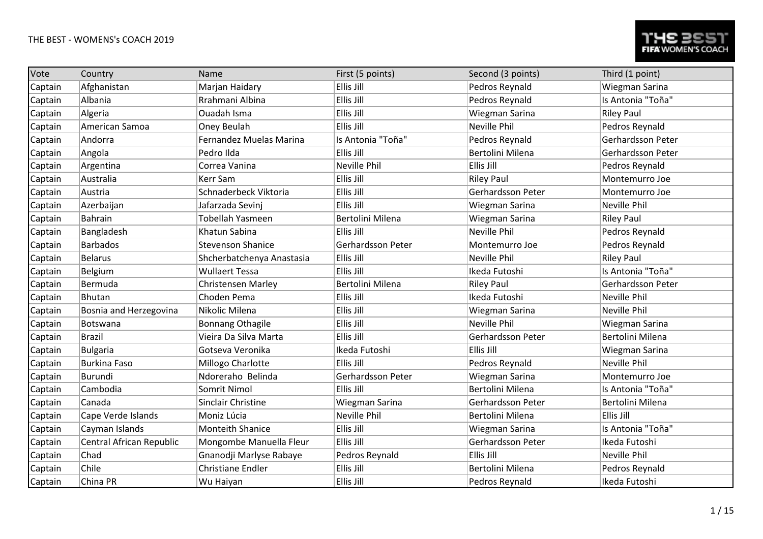| Vote    | Country                  | Name                      | First (5 points)    | Second (3 points)   | Third (1 point)     |
|---------|--------------------------|---------------------------|---------------------|---------------------|---------------------|
| Captain | Afghanistan              | Marjan Haidary            | Ellis Jill          | Pedros Reynald      | Wiegman Sarina      |
| Captain | Albania                  | Rrahmani Albina           | Ellis Jill          | Pedros Reynald      | Is Antonia "Toña"   |
| Captain | Algeria                  | <b>Ouadah Isma</b>        | Ellis Jill          | Wiegman Sarina      | <b>Riley Paul</b>   |
| Captain | American Samoa           | Oney Beulah               | Ellis Jill          | <b>Neville Phil</b> | Pedros Reynald      |
| Captain | Andorra                  | Fernandez Muelas Marina   | Is Antonia "Toña"   | Pedros Reynald      | Gerhardsson Peter   |
| Captain | Angola                   | Pedro Ilda                | Ellis Jill          | Bertolini Milena    | Gerhardsson Peter   |
| Captain | Argentina                | Correa Vanina             | <b>Neville Phil</b> | Ellis Jill          | Pedros Reynald      |
| Captain | Australia                | Kerr Sam                  | Ellis Jill          | <b>Riley Paul</b>   | Montemurro Joe      |
| Captain | Austria                  | Schnaderbeck Viktoria     | Ellis Jill          | Gerhardsson Peter   | Montemurro Joe      |
| Captain | Azerbaijan               | Jafarzada Sevinj          | Ellis Jill          | Wiegman Sarina      | Neville Phil        |
| Captain | Bahrain                  | Tobellah Yasmeen          | Bertolini Milena    | Wiegman Sarina      | <b>Riley Paul</b>   |
| Captain | Bangladesh               | Khatun Sabina             | Ellis Jill          | <b>Neville Phil</b> | Pedros Reynald      |
| Captain | <b>Barbados</b>          | <b>Stevenson Shanice</b>  | Gerhardsson Peter   | Montemurro Joe      | Pedros Reynald      |
| Captain | Belarus                  | Shcherbatchenya Anastasia | Ellis Jill          | <b>Neville Phil</b> | <b>Riley Paul</b>   |
| Captain | Belgium                  | Wullaert Tessa            | Ellis Jill          | Ikeda Futoshi       | Is Antonia "Toña"   |
| Captain | Bermuda                  | Christensen Marley        | Bertolini Milena    | <b>Riley Paul</b>   | Gerhardsson Peter   |
| Captain | Bhutan                   | Choden Pema               | Ellis Jill          | Ikeda Futoshi       | Neville Phil        |
| Captain | Bosnia and Herzegovina   | Nikolic Milena            | Ellis Jill          | Wiegman Sarina      | <b>Neville Phil</b> |
| Captain | Botswana                 | <b>Bonnang Othagile</b>   | Ellis Jill          | <b>Neville Phil</b> | Wiegman Sarina      |
| Captain | Brazil                   | Vieira Da Silva Marta     | Ellis Jill          | Gerhardsson Peter   | Bertolini Milena    |
| Captain | <b>Bulgaria</b>          | Gotseva Veronika          | Ikeda Futoshi       | Ellis Jill          | Wiegman Sarina      |
| Captain | Burkina Faso             | Millogo Charlotte         | Ellis Jill          | Pedros Reynald      | Neville Phil        |
| Captain | Burundi                  | Ndoreraho Belinda         | Gerhardsson Peter   | Wiegman Sarina      | Montemurro Joe      |
| Captain | Cambodia                 | Somrit Nimol              | Ellis Jill          | Bertolini Milena    | Is Antonia "Toña"   |
| Captain | Canada                   | Sinclair Christine        | Wiegman Sarina      | Gerhardsson Peter   | Bertolini Milena    |
| Captain | Cape Verde Islands       | Moniz Lúcia               | Neville Phil        | Bertolini Milena    | Ellis Jill          |
| Captain | Cayman Islands           | <b>Monteith Shanice</b>   | Ellis Jill          | Wiegman Sarina      | Is Antonia "Toña"   |
| Captain | Central African Republic | Mongombe Manuella Fleur   | Ellis Jill          | Gerhardsson Peter   | Ikeda Futoshi       |
| Captain | Chad                     | Gnanodji Marlyse Rabaye   | Pedros Reynald      | Ellis Jill          | <b>Neville Phil</b> |
| Captain | Chile                    | Christiane Endler         | Ellis Jill          | Bertolini Milena    | Pedros Reynald      |
| Captain | China PR                 | Wu Haiyan                 | Ellis Jill          | Pedros Reynald      | Ikeda Futoshi       |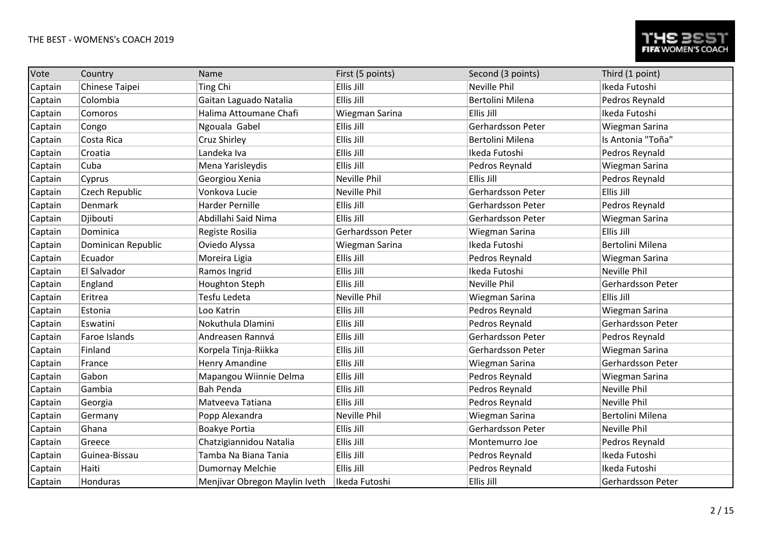| Vote    | Country            | Name                          | First (5 points)         | Second (3 points)   | Third (1 point)     |
|---------|--------------------|-------------------------------|--------------------------|---------------------|---------------------|
| Captain | Chinese Taipei     | Ting Chi                      | Ellis Jill               | <b>Neville Phil</b> | Ikeda Futoshi       |
| Captain | Colombia           | Gaitan Laguado Natalia        | Ellis Jill               | Bertolini Milena    | Pedros Reynald      |
| Captain | Comoros            | Halima Attoumane Chafi        | Wiegman Sarina           | Ellis Jill          | Ikeda Futoshi       |
| Captain | Congo              | Ngouala Gabel                 | Ellis Jill               | Gerhardsson Peter   | Wiegman Sarina      |
| Captain | Costa Rica         | Cruz Shirley                  | Ellis Jill               | Bertolini Milena    | Is Antonia "Toña"   |
| Captain | Croatia            | Landeka Iva                   | Ellis Jill               | Ikeda Futoshi       | Pedros Reynald      |
| Captain | Cuba               | Mena Yarisleydis              | Ellis Jill               | Pedros Reynald      | Wiegman Sarina      |
| Captain | Cyprus             | Georgiou Xenia                | <b>Neville Phil</b>      | Ellis Jill          | Pedros Reynald      |
| Captain | Czech Republic     | Vonkova Lucie                 | Neville Phil             | Gerhardsson Peter   | Ellis Jill          |
| Captain | Denmark            | Harder Pernille               | Ellis Jill               | Gerhardsson Peter   | Pedros Reynald      |
| Captain | Djibouti           | Abdillahi Said Nima           | Ellis Jill               | Gerhardsson Peter   | Wiegman Sarina      |
| Captain | Dominica           | Registe Rosilia               | <b>Gerhardsson Peter</b> | Wiegman Sarina      | Ellis Jill          |
| Captain | Dominican Republic | Oviedo Alyssa                 | Wiegman Sarina           | Ikeda Futoshi       | Bertolini Milena    |
| Captain | Ecuador            | Moreira Ligia                 | Ellis Jill               | Pedros Reynald      | Wiegman Sarina      |
| Captain | El Salvador        | Ramos Ingrid                  | Ellis Jill               | Ikeda Futoshi       | <b>Neville Phil</b> |
| Captain | England            | <b>Houghton Steph</b>         | Ellis Jill               | <b>Neville Phil</b> | Gerhardsson Peter   |
| Captain | Eritrea            | Tesfu Ledeta                  | <b>Neville Phil</b>      | Wiegman Sarina      | Ellis Jill          |
| Captain | Estonia            | Loo Katrin                    | Ellis Jill               | Pedros Reynald      | Wiegman Sarina      |
| Captain | Eswatini           | Nokuthula Dlamini             | Ellis Jill               | Pedros Reynald      | Gerhardsson Peter   |
| Captain | Faroe Islands      | Andreasen Rannvá              | Ellis Jill               | Gerhardsson Peter   | Pedros Reynald      |
| Captain | Finland            | Korpela Tinja-Riikka          | Ellis Jill               | Gerhardsson Peter   | Wiegman Sarina      |
| Captain | France             | <b>Henry Amandine</b>         | Ellis Jill               | Wiegman Sarina      | Gerhardsson Peter   |
| Captain | Gabon              | Mapangou Wiinnie Delma        | Ellis Jill               | Pedros Reynald      | Wiegman Sarina      |
| Captain | Gambia             | <b>Bah Penda</b>              | Ellis Jill               | Pedros Reynald      | Neville Phil        |
| Captain | Georgia            | Matveeva Tatiana              | Ellis Jill               | Pedros Reynald      | <b>Neville Phil</b> |
| Captain | Germany            | Popp Alexandra                | Neville Phil             | Wiegman Sarina      | Bertolini Milena    |
| Captain | Ghana              | <b>Boakye Portia</b>          | Ellis Jill               | Gerhardsson Peter   | Neville Phil        |
| Captain | Greece             | Chatzigiannidou Natalia       | Ellis Jill               | Montemurro Joe      | Pedros Reynald      |
| Captain | Guinea-Bissau      | Tamba Na Biana Tania          | Ellis Jill               | Pedros Reynald      | Ikeda Futoshi       |
| Captain | Haiti              | Dumornay Melchie              | Ellis Jill               | Pedros Reynald      | Ikeda Futoshi       |
| Captain | Honduras           | Menjivar Obregon Maylin Iveth | Ikeda Futoshi            | Ellis Jill          | Gerhardsson Peter   |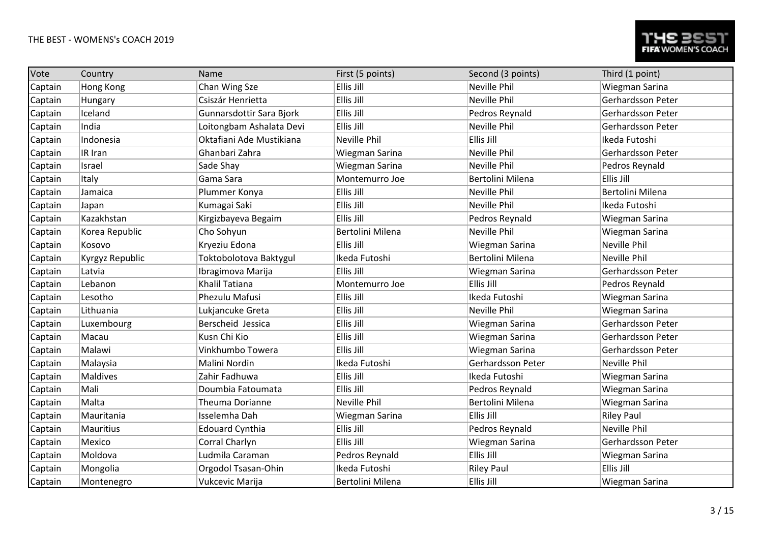| Vote    | Country          | Name                     | First (5 points)    | Second (3 points)   | Third (1 point)     |
|---------|------------------|--------------------------|---------------------|---------------------|---------------------|
| Captain | Hong Kong        | Chan Wing Sze            | Ellis Jill          | Neville Phil        | Wiegman Sarina      |
| Captain | Hungary          | Csiszár Henrietta        | Ellis Jill          | Neville Phil        | Gerhardsson Peter   |
| Captain | Iceland          | Gunnarsdottir Sara Bjork | Ellis Jill          | Pedros Reynald      | Gerhardsson Peter   |
| Captain | India            | Loitongbam Ashalata Devi | Ellis Jill          | <b>Neville Phil</b> | Gerhardsson Peter   |
| Captain | Indonesia        | Oktafiani Ade Mustikiana | <b>Neville Phil</b> | Ellis Jill          | Ikeda Futoshi       |
| Captain | IR Iran          | Ghanbari Zahra           | Wiegman Sarina      | Neville Phil        | Gerhardsson Peter   |
| Captain | Israel           | Sade Shay                | Wiegman Sarina      | <b>Neville Phil</b> | Pedros Reynald      |
| Captain | Italy            | Gama Sara                | Montemurro Joe      | Bertolini Milena    | Ellis Jill          |
| Captain | Jamaica          | Plummer Konya            | Ellis Jill          | Neville Phil        | Bertolini Milena    |
| Captain | Japan            | Kumagai Saki             | Ellis Jill          | <b>Neville Phil</b> | Ikeda Futoshi       |
| Captain | Kazakhstan       | Kirgizbayeva Begaim      | Ellis Jill          | Pedros Reynald      | Wiegman Sarina      |
| Captain | Korea Republic   | Cho Sohyun               | Bertolini Milena    | <b>Neville Phil</b> | Wiegman Sarina      |
| Captain | Kosovo           | Kryeziu Edona            | Ellis Jill          | Wiegman Sarina      | <b>Neville Phil</b> |
| Captain | Kyrgyz Republic  | Toktobolotova Baktygul   | Ikeda Futoshi       | Bertolini Milena    | Neville Phil        |
| Captain | Latvia           | Ibragimova Marija        | Ellis Jill          | Wiegman Sarina      | Gerhardsson Peter   |
| Captain | Lebanon          | Khalil Tatiana           | Montemurro Joe      | Ellis Jill          | Pedros Reynald      |
| Captain | Lesotho          | Phezulu Mafusi           | Ellis Jill          | Ikeda Futoshi       | Wiegman Sarina      |
| Captain | Lithuania        | Lukjancuke Greta         | Ellis Jill          | Neville Phil        | Wiegman Sarina      |
| Captain | Luxembourg       | Berscheid Jessica        | Ellis Jill          | Wiegman Sarina      | Gerhardsson Peter   |
| Captain | Macau            | Kusn Chi Kio             | Ellis Jill          | Wiegman Sarina      | Gerhardsson Peter   |
| Captain | Malawi           | Vinkhumbo Towera         | Ellis Jill          | Wiegman Sarina      | Gerhardsson Peter   |
| Captain | Malaysia         | Malini Nordin            | Ikeda Futoshi       | Gerhardsson Peter   | <b>Neville Phil</b> |
| Captain | <b>Maldives</b>  | Zahir Fadhuwa            | Ellis Jill          | Ikeda Futoshi       | Wiegman Sarina      |
| Captain | Mali             | Doumbia Fatoumata        | Ellis Jill          | Pedros Reynald      | Wiegman Sarina      |
| Captain | Malta            | Theuma Dorianne          | <b>Neville Phil</b> | Bertolini Milena    | Wiegman Sarina      |
| Captain | Mauritania       | Isselemha Dah            | Wiegman Sarina      | Ellis Jill          | <b>Riley Paul</b>   |
| Captain | <b>Mauritius</b> | <b>Edouard Cynthia</b>   | Ellis Jill          | Pedros Reynald      | <b>Neville Phil</b> |
| Captain | Mexico           | Corral Charlyn           | Ellis Jill          | Wiegman Sarina      | Gerhardsson Peter   |
| Captain | Moldova          | Ludmila Caraman          | Pedros Reynald      | Ellis Jill          | Wiegman Sarina      |
| Captain | Mongolia         | Orgodol Tsasan-Ohin      | Ikeda Futoshi       | <b>Riley Paul</b>   | <b>Ellis Jill</b>   |
| Captain | Montenegro       | Vukcevic Marija          | Bertolini Milena    | Ellis Jill          | Wiegman Sarina      |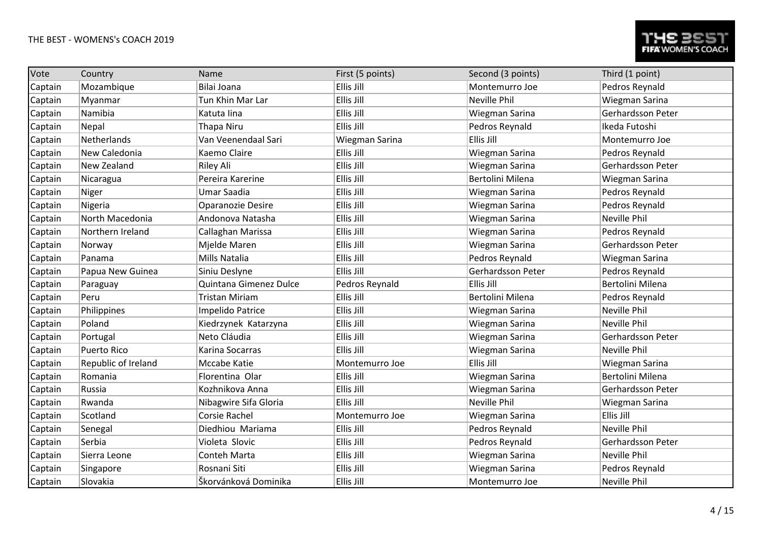| Vote    | Country             | Name                    | First (5 points) | Second (3 points)   | Third (1 point)   |
|---------|---------------------|-------------------------|------------------|---------------------|-------------------|
| Captain | Mozambique          | Bilai Joana             | Ellis Jill       | Montemurro Joe      | Pedros Reynald    |
| Captain | Myanmar             | Tun Khin Mar Lar        | Ellis Jill       | <b>Neville Phil</b> | Wiegman Sarina    |
| Captain | Namibia             | Katuta lina             | Ellis Jill       | Wiegman Sarina      | Gerhardsson Peter |
| Captain | Nepal               | Thapa Niru              | Ellis Jill       | Pedros Reynald      | Ikeda Futoshi     |
| Captain | Netherlands         | Van Veenendaal Sari     | Wiegman Sarina   | Ellis Jill          | Montemurro Joe    |
| Captain | New Caledonia       | Kaemo Claire            | Ellis Jill       | Wiegman Sarina      | Pedros Reynald    |
| Captain | New Zealand         | <b>Riley Ali</b>        | Ellis Jill       | Wiegman Sarina      | Gerhardsson Peter |
| Captain | Nicaragua           | Pereira Karerine        | Ellis Jill       | Bertolini Milena    | Wiegman Sarina    |
| Captain | Niger               | Umar Saadia             | Ellis Jill       | Wiegman Sarina      | Pedros Reynald    |
| Captain | Nigeria             | Oparanozie Desire       | Ellis Jill       | Wiegman Sarina      | Pedros Reynald    |
| Captain | North Macedonia     | Andonova Natasha        | Ellis Jill       | Wiegman Sarina      | Neville Phil      |
| Captain | Northern Ireland    | Callaghan Marissa       | Ellis Jill       | Wiegman Sarina      | Pedros Reynald    |
| Captain | Norway              | Mjelde Maren            | Ellis Jill       | Wiegman Sarina      | Gerhardsson Peter |
| Captain | Panama              | Mills Natalia           | Ellis Jill       | Pedros Reynald      | Wiegman Sarina    |
| Captain | Papua New Guinea    | Siniu Deslyne           | Ellis Jill       | Gerhardsson Peter   | Pedros Reynald    |
| Captain | Paraguay            | Quintana Gimenez Dulce  | Pedros Reynald   | Ellis Jill          | Bertolini Milena  |
| Captain | Peru                | <b>Tristan Miriam</b>   | Ellis Jill       | Bertolini Milena    | Pedros Reynald    |
| Captain | Philippines         | <b>Impelido Patrice</b> | Ellis Jill       | Wiegman Sarina      | Neville Phil      |
| Captain | Poland              | Kiedrzynek Katarzyna    | Ellis Jill       | Wiegman Sarina      | Neville Phil      |
| Captain | Portugal            | Neto Cláudia            | Ellis Jill       | Wiegman Sarina      | Gerhardsson Peter |
| Captain | <b>Puerto Rico</b>  | Karina Socarras         | Ellis Jill       | Wiegman Sarina      | Neville Phil      |
| Captain | Republic of Ireland | Mccabe Katie            | Montemurro Joe   | Ellis Jill          | Wiegman Sarina    |
| Captain | Romania             | Florentina Olar         | Ellis Jill       | Wiegman Sarina      | Bertolini Milena  |
| Captain | Russia              | Kozhnikova Anna         | Ellis Jill       | Wiegman Sarina      | Gerhardsson Peter |
| Captain | Rwanda              | Nibagwire Sifa Gloria   | Ellis Jill       | <b>Neville Phil</b> | Wiegman Sarina    |
| Captain | Scotland            | Corsie Rachel           | Montemurro Joe   | Wiegman Sarina      | Ellis Jill        |
| Captain | Senegal             | Diedhiou Mariama        | Ellis Jill       | Pedros Reynald      | Neville Phil      |
| Captain | Serbia              | Violeta Slovic          | Ellis Jill       | Pedros Reynald      | Gerhardsson Peter |
| Captain | Sierra Leone        | Conteh Marta            | Ellis Jill       | Wiegman Sarina      | Neville Phil      |
| Captain | Singapore           | Rosnani Siti            | Ellis Jill       | Wiegman Sarina      | Pedros Reynald    |
| Captain | Slovakia            | Škorvánková Dominika    | Ellis Jill       | Montemurro Joe      | Neville Phil      |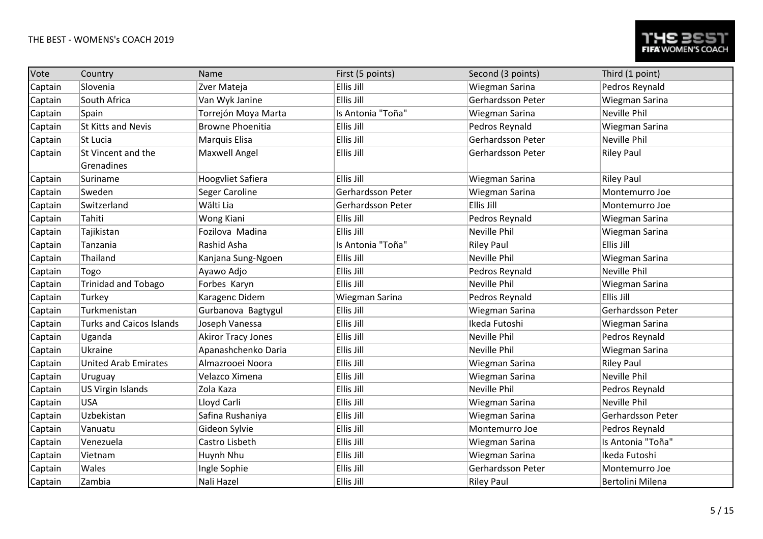| Vote    | Country                         | Name                      | First (5 points)  | Second (3 points) | Third (1 point)   |
|---------|---------------------------------|---------------------------|-------------------|-------------------|-------------------|
| Captain | Slovenia                        | Zver Mateja               | Ellis Jill        | Wiegman Sarina    | Pedros Reynald    |
| Captain | South Africa                    | Van Wyk Janine            | Ellis Jill        | Gerhardsson Peter | Wiegman Sarina    |
| Captain | Spain                           | Torrejón Moya Marta       | Is Antonia "Toña" | Wiegman Sarina    | Neville Phil      |
| Captain | St Kitts and Nevis              | <b>Browne Phoenitia</b>   | Ellis Jill        | Pedros Reynald    | Wiegman Sarina    |
| Captain | St Lucia                        | Marquis Elisa             | Ellis Jill        | Gerhardsson Peter | Neville Phil      |
| Captain | St Vincent and the              | Maxwell Angel             | Ellis Jill        | Gerhardsson Peter | <b>Riley Paul</b> |
|         | Grenadines                      |                           |                   |                   |                   |
| Captain | Suriname                        | Hoogyliet Safiera         | Ellis Jill        | Wiegman Sarina    | <b>Riley Paul</b> |
| Captain | Sweden                          | Seger Caroline            | Gerhardsson Peter | Wiegman Sarina    | Montemurro Joe    |
| Captain | Switzerland                     | Wälti Lia                 | Gerhardsson Peter | Ellis Jill        | Montemurro Joe    |
| Captain | Tahiti                          | Wong Kiani                | Ellis Jill        | Pedros Reynald    | Wiegman Sarina    |
| Captain | Tajikistan                      | Fozilova Madina           | Ellis Jill        | Neville Phil      | Wiegman Sarina    |
| Captain | Tanzania                        | Rashid Asha               | Is Antonia "Toña" | <b>Riley Paul</b> | Ellis Jill        |
| Captain | Thailand                        | Kanjana Sung-Ngoen        | Ellis Jill        | Neville Phil      | Wiegman Sarina    |
| Captain | Togo                            | Ayawo Adjo                | Ellis Jill        | Pedros Reynald    | Neville Phil      |
| Captain | <b>Trinidad and Tobago</b>      | Forbes Karyn              | Ellis Jill        | Neville Phil      | Wiegman Sarina    |
| Captain | Turkey                          | Karagenc Didem            | Wiegman Sarina    | Pedros Reynald    | Ellis Jill        |
| Captain | Turkmenistan                    | Gurbanova Bagtygul        | Ellis Jill        | Wiegman Sarina    | Gerhardsson Peter |
| Captain | <b>Turks and Caicos Islands</b> | Joseph Vanessa            | Ellis Jill        | Ikeda Futoshi     | Wiegman Sarina    |
| Captain | Uganda                          | <b>Akiror Tracy Jones</b> | Ellis Jill        | Neville Phil      | Pedros Reynald    |
| Captain | Ukraine                         | Apanashchenko Daria       | Ellis Jill        | Neville Phil      | Wiegman Sarina    |
| Captain | <b>United Arab Emirates</b>     | Almazrooei Noora          | Ellis Jill        | Wiegman Sarina    | <b>Riley Paul</b> |
| Captain | Uruguay                         | Velazco Ximena            | Ellis Jill        | Wiegman Sarina    | Neville Phil      |
| Captain | <b>US Virgin Islands</b>        | Zola Kaza                 | Ellis Jill        | Neville Phil      | Pedros Reynald    |
| Captain | <b>USA</b>                      | Lloyd Carli               | Ellis Jill        | Wiegman Sarina    | Neville Phil      |
| Captain | Uzbekistan                      | Safina Rushaniya          | Ellis Jill        | Wiegman Sarina    | Gerhardsson Peter |
| Captain | Vanuatu                         | Gideon Sylvie             | Ellis Jill        | Montemurro Joe    | Pedros Reynald    |
| Captain | Venezuela                       | Castro Lisbeth            | Ellis Jill        | Wiegman Sarina    | Is Antonia "Toña" |
| Captain | Vietnam                         | Huynh Nhu                 | Ellis Jill        | Wiegman Sarina    | Ikeda Futoshi     |
| Captain | Wales                           | Ingle Sophie              | Ellis Jill        | Gerhardsson Peter | Montemurro Joe    |
| Captain | Zambia                          | Nali Hazel                | Ellis Jill        | <b>Riley Paul</b> | Bertolini Milena  |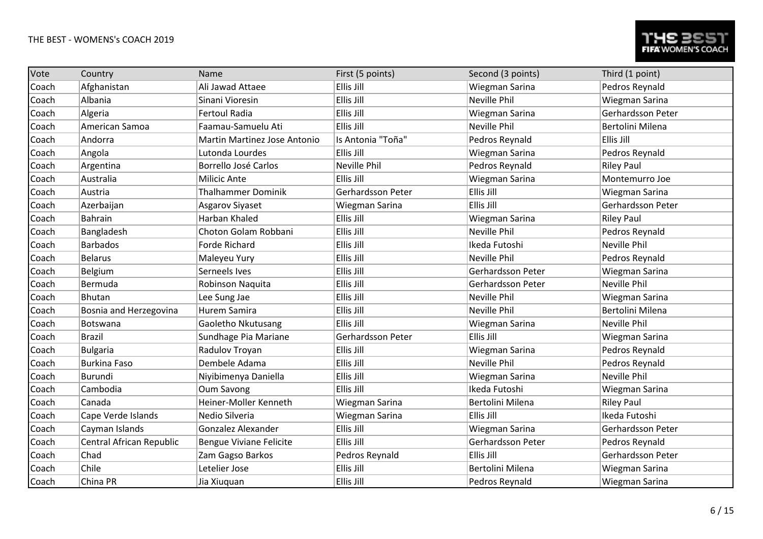| Vote  | Country                  | Name                           | First (5 points)    | Second (3 points)   | Third (1 point)     |
|-------|--------------------------|--------------------------------|---------------------|---------------------|---------------------|
| Coach | Afghanistan              | Ali Jawad Attaee               | Ellis Jill          | Wiegman Sarina      | Pedros Reynald      |
| Coach | Albania                  | Sinani Vioresin                | Ellis Jill          | Neville Phil        | Wiegman Sarina      |
| Coach | Algeria                  | <b>Fertoul Radia</b>           | Ellis Jill          | Wiegman Sarina      | Gerhardsson Peter   |
| Coach | American Samoa           | Faamau-Samuelu Ati             | Ellis Jill          | Neville Phil        | Bertolini Milena    |
| Coach | Andorra                  | Martin Martinez Jose Antonio   | Is Antonia "Toña"   | Pedros Reynald      | Ellis Jill          |
| Coach | Angola                   | Lutonda Lourdes                | Ellis Jill          | Wiegman Sarina      | Pedros Reynald      |
| Coach | Argentina                | Borrello José Carlos           | <b>Neville Phil</b> | Pedros Reynald      | <b>Riley Paul</b>   |
| Coach | Australia                | Milicic Ante                   | Ellis Jill          | Wiegman Sarina      | Montemurro Joe      |
| Coach | Austria                  | <b>Thalhammer Dominik</b>      | Gerhardsson Peter   | Ellis Jill          | Wiegman Sarina      |
| Coach | Azerbaijan               | Asgarov Siyaset                | Wiegman Sarina      | Ellis Jill          | Gerhardsson Peter   |
| Coach | <b>Bahrain</b>           | Harban Khaled                  | Ellis Jill          | Wiegman Sarina      | <b>Riley Paul</b>   |
| Coach | Bangladesh               | Choton Golam Robbani           | Ellis Jill          | Neville Phil        | Pedros Reynald      |
| Coach | <b>Barbados</b>          | <b>Forde Richard</b>           | Ellis Jill          | Ikeda Futoshi       | <b>Neville Phil</b> |
| Coach | <b>Belarus</b>           | Maleyeu Yury                   | Ellis Jill          | Neville Phil        | Pedros Reynald      |
| Coach | Belgium                  | Serneels Ives                  | Ellis Jill          | Gerhardsson Peter   | Wiegman Sarina      |
| Coach | Bermuda                  | Robinson Naquita               | Ellis Jill          | Gerhardsson Peter   | <b>Neville Phil</b> |
| Coach | Bhutan                   | Lee Sung Jae                   | Ellis Jill          | <b>Neville Phil</b> | Wiegman Sarina      |
| Coach | Bosnia and Herzegovina   | Hurem Samira                   | Ellis Jill          | Neville Phil        | Bertolini Milena    |
| Coach | Botswana                 | Gaoletho Nkutusang             | Ellis Jill          | Wiegman Sarina      | <b>Neville Phil</b> |
| Coach | <b>Brazil</b>            | Sundhage Pia Mariane           | Gerhardsson Peter   | Ellis Jill          | Wiegman Sarina      |
| Coach | <b>Bulgaria</b>          | Radulov Troyan                 | Ellis Jill          | Wiegman Sarina      | Pedros Reynald      |
| Coach | <b>Burkina Faso</b>      | Dembele Adama                  | Ellis Jill          | Neville Phil        | Pedros Reynald      |
| Coach | Burundi                  | Niyibimenya Daniella           | Ellis Jill          | Wiegman Sarina      | <b>Neville Phil</b> |
| Coach | Cambodia                 | Oum Savong                     | Ellis Jill          | Ikeda Futoshi       | Wiegman Sarina      |
| Coach | Canada                   | Heiner-Moller Kenneth          | Wiegman Sarina      | Bertolini Milena    | <b>Riley Paul</b>   |
| Coach | Cape Verde Islands       | Nedio Silveria                 | Wiegman Sarina      | Ellis Jill          | Ikeda Futoshi       |
| Coach | Cayman Islands           | Gonzalez Alexander             | Ellis Jill          | Wiegman Sarina      | Gerhardsson Peter   |
| Coach | Central African Republic | <b>Bengue Viviane Felicite</b> | Ellis Jill          | Gerhardsson Peter   | Pedros Reynald      |
| Coach | Chad                     | Zam Gagso Barkos               | Pedros Reynald      | Ellis Jill          | Gerhardsson Peter   |
| Coach | Chile                    | Letelier Jose                  | Ellis Jill          | Bertolini Milena    | Wiegman Sarina      |
| Coach | China PR                 | Jia Xiuquan                    | Ellis Jill          | Pedros Reynald      | Wiegman Sarina      |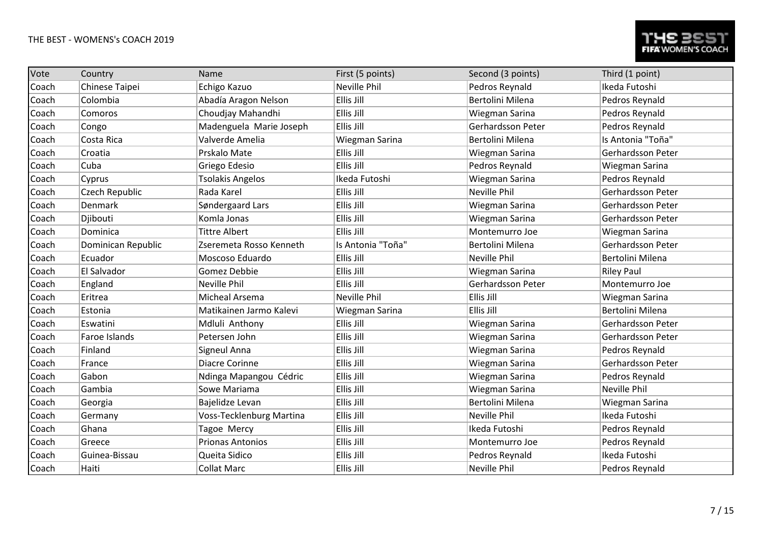| Vote  | Country            | Name                            | First (5 points)    | Second (3 points)   | Third (1 point)   |
|-------|--------------------|---------------------------------|---------------------|---------------------|-------------------|
| Coach | Chinese Taipei     | Echigo Kazuo                    | Neville Phil        | Pedros Reynald      | Ikeda Futoshi     |
| Coach | Colombia           | Abadía Aragon Nelson            | Ellis Jill          | Bertolini Milena    | Pedros Reynald    |
| Coach | Comoros            | Choudjay Mahandhi               | Ellis Jill          | Wiegman Sarina      | Pedros Reynald    |
| Coach | Congo              | Madenguela Marie Joseph         | Ellis Jill          | Gerhardsson Peter   | Pedros Reynald    |
| Coach | Costa Rica         | Valverde Amelia                 | Wiegman Sarina      | Bertolini Milena    | Is Antonia "Toña" |
| Coach | Croatia            | Prskalo Mate                    | Ellis Jill          | Wiegman Sarina      | Gerhardsson Peter |
| Coach | Cuba               | Griego Edesio                   | Ellis Jill          | Pedros Reynald      | Wiegman Sarina    |
| Coach | Cyprus             | <b>Tsolakis Angelos</b>         | Ikeda Futoshi       | Wiegman Sarina      | Pedros Reynald    |
| Coach | Czech Republic     | Rada Karel                      | Ellis Jill          | <b>Neville Phil</b> | Gerhardsson Peter |
| Coach | <b>Denmark</b>     | Søndergaard Lars                | Ellis Jill          | Wiegman Sarina      | Gerhardsson Peter |
| Coach | Djibouti           | Komla Jonas                     | Ellis Jill          | Wiegman Sarina      | Gerhardsson Peter |
| Coach | Dominica           | <b>Tittre Albert</b>            | Ellis Jill          | Montemurro Joe      | Wiegman Sarina    |
| Coach | Dominican Republic | Zseremeta Rosso Kenneth         | Is Antonia "Toña"   | Bertolini Milena    | Gerhardsson Peter |
| Coach | Ecuador            | Moscoso Eduardo                 | Ellis Jill          | <b>Neville Phil</b> | Bertolini Milena  |
| Coach | El Salvador        | Gomez Debbie                    | Ellis Jill          | Wiegman Sarina      | <b>Riley Paul</b> |
| Coach | England            | <b>Neville Phil</b>             | Ellis Jill          | Gerhardsson Peter   | Montemurro Joe    |
| Coach | Eritrea            | Micheal Arsema                  | <b>Neville Phil</b> | Ellis Jill          | Wiegman Sarina    |
| Coach | Estonia            | Matikainen Jarmo Kalevi         | Wiegman Sarina      | Ellis Jill          | Bertolini Milena  |
| Coach | Eswatini           | Mdluli Anthony                  | Ellis Jill          | Wiegman Sarina      | Gerhardsson Peter |
| Coach | Faroe Islands      | Petersen John                   | Ellis Jill          | Wiegman Sarina      | Gerhardsson Peter |
| Coach | Finland            | Signeul Anna                    | Ellis Jill          | Wiegman Sarina      | Pedros Reynald    |
| Coach | France             | <b>Diacre Corinne</b>           | Ellis Jill          | Wiegman Sarina      | Gerhardsson Peter |
| Coach | Gabon              | Ndinga Mapangou Cédric          | Ellis Jill          | Wiegman Sarina      | Pedros Reynald    |
| Coach | Gambia             | Sowe Mariama                    | Ellis Jill          | Wiegman Sarina      | Neville Phil      |
| Coach | Georgia            | Bajelidze Levan                 | Ellis Jill          | Bertolini Milena    | Wiegman Sarina    |
| Coach | Germany            | <b>Voss-Tecklenburg Martina</b> | Ellis Jill          | <b>Neville Phil</b> | Ikeda Futoshi     |
| Coach | Ghana              | Tagoe Mercy                     | Ellis Jill          | Ikeda Futoshi       | Pedros Reynald    |
| Coach | Greece             | Prionas Antonios                | Ellis Jill          | Montemurro Joe      | Pedros Reynald    |
| Coach | Guinea-Bissau      | Queita Sidico                   | Ellis Jill          | Pedros Reynald      | Ikeda Futoshi     |
| Coach | Haiti              | <b>Collat Marc</b>              | Ellis Jill          | Neville Phil        | Pedros Reynald    |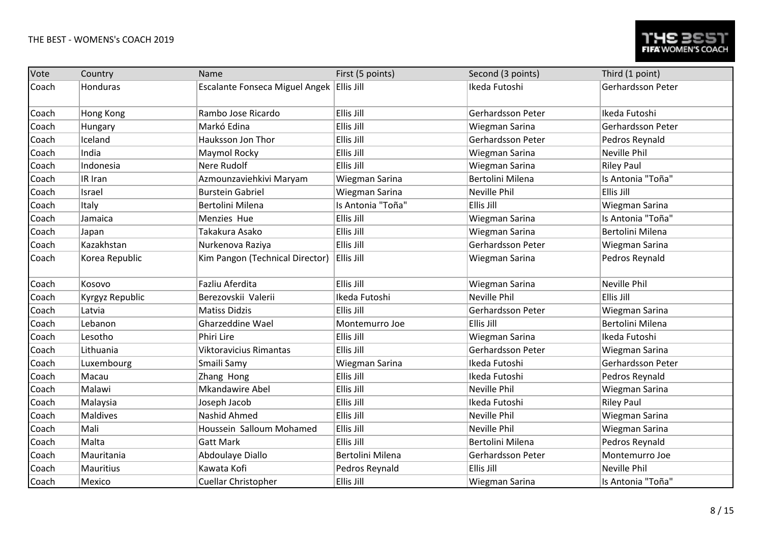| Vote  | Country         | Name                                        | First (5 points)  | Second (3 points)        | Third (1 point)     |
|-------|-----------------|---------------------------------------------|-------------------|--------------------------|---------------------|
| Coach | Honduras        | Escalante Fonseca Miguel Angek   Ellis Jill |                   | Ikeda Futoshi            | Gerhardsson Peter   |
| Coach | Hong Kong       | Rambo Jose Ricardo                          | Ellis Jill        | Gerhardsson Peter        | Ikeda Futoshi       |
| Coach | Hungary         | Markó Edina                                 | Ellis Jill        | Wiegman Sarina           | Gerhardsson Peter   |
| Coach | Iceland         | Hauksson Jon Thor                           | Ellis Jill        | Gerhardsson Peter        | Pedros Reynald      |
| Coach | India           | Maymol Rocky                                | Ellis Jill        | Wiegman Sarina           | Neville Phil        |
| Coach | Indonesia       | Nere Rudolf                                 | Ellis Jill        | Wiegman Sarina           | <b>Riley Paul</b>   |
| Coach | IR Iran         | Azmounzaviehkivi Maryam                     | Wiegman Sarina    | Bertolini Milena         | Is Antonia "Toña"   |
| Coach | Israel          | <b>Burstein Gabriel</b>                     | Wiegman Sarina    | <b>Neville Phil</b>      | Ellis Jill          |
| Coach | Italy           | <b>Bertolini Milena</b>                     | Is Antonia "Toña" | Ellis Jill               | Wiegman Sarina      |
| Coach | Jamaica         | Menzies Hue                                 | Ellis Jill        | Wiegman Sarina           | Is Antonia "Toña"   |
| Coach | Japan           | Takakura Asako                              | Ellis Jill        | Wiegman Sarina           | Bertolini Milena    |
| Coach | Kazakhstan      | Nurkenova Raziya                            | Ellis Jill        | Gerhardsson Peter        | Wiegman Sarina      |
| Coach | Korea Republic  | Kim Pangon (Technical Director)             | Ellis Jill        | Wiegman Sarina           | Pedros Reynald      |
| Coach | Kosovo          | Fazliu Aferdita                             | Ellis Jill        | Wiegman Sarina           | <b>Neville Phil</b> |
| Coach | Kyrgyz Republic | Berezovskii Valerii                         | Ikeda Futoshi     | <b>Neville Phil</b>      | Ellis Jill          |
| Coach | Latvia          | <b>Matiss Didzis</b>                        | Ellis Jill        | Gerhardsson Peter        | Wiegman Sarina      |
| Coach | Lebanon         | Gharzeddine Wael                            | Montemurro Joe    | Ellis Jill               | Bertolini Milena    |
| Coach | Lesotho         | Phiri Lire                                  | Ellis Jill        | Wiegman Sarina           | Ikeda Futoshi       |
| Coach | Lithuania       | Viktoravicius Rimantas                      | Ellis Jill        | Gerhardsson Peter        | Wiegman Sarina      |
| Coach | Luxembourg      | Smaili Samy                                 | Wiegman Sarina    | Ikeda Futoshi            | Gerhardsson Peter   |
| Coach | Macau           | Zhang Hong                                  | Ellis Jill        | Ikeda Futoshi            | Pedros Reynald      |
| Coach | Malawi          | <b>Mkandawire Abel</b>                      | Ellis Jill        | <b>Neville Phil</b>      | Wiegman Sarina      |
| Coach | Malaysia        | Joseph Jacob                                | Ellis Jill        | Ikeda Futoshi            | <b>Riley Paul</b>   |
| Coach | <b>Maldives</b> | Nashid Ahmed                                | Ellis Jill        | <b>Neville Phil</b>      | Wiegman Sarina      |
| Coach | Mali            | Houssein Salloum Mohamed                    | Ellis Jill        | Neville Phil             | Wiegman Sarina      |
| Coach | Malta           | <b>Gatt Mark</b>                            | Ellis Jill        | Bertolini Milena         | Pedros Reynald      |
| Coach | Mauritania      | Abdoulaye Diallo                            | Bertolini Milena  | <b>Gerhardsson Peter</b> | Montemurro Joe      |
| Coach | Mauritius       | Kawata Kofi                                 | Pedros Reynald    | Ellis Jill               | <b>Neville Phil</b> |
| Coach | Mexico          | <b>Cuellar Christopher</b>                  | Ellis Jill        | Wiegman Sarina           | Is Antonia "Toña"   |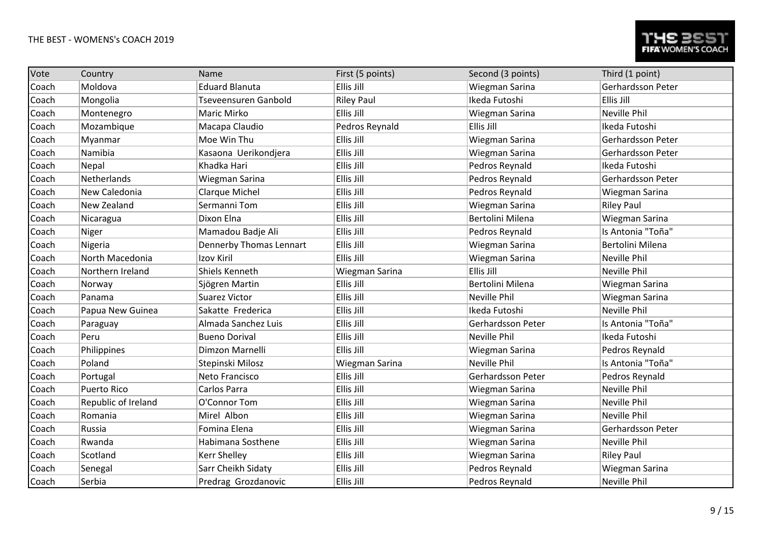| Vote  | Country             | Name                    | First (5 points)  | Second (3 points)   | Third (1 point)          |
|-------|---------------------|-------------------------|-------------------|---------------------|--------------------------|
| Coach | Moldova             | <b>Eduard Blanuta</b>   | Ellis Jill        | Wiegman Sarina      | Gerhardsson Peter        |
| Coach | Mongolia            | Tseveensuren Ganbold    | <b>Riley Paul</b> | Ikeda Futoshi       | Ellis Jill               |
| Coach | Montenegro          | Maric Mirko             | Ellis Jill        | Wiegman Sarina      | <b>Neville Phil</b>      |
| Coach | Mozambique          | Macapa Claudio          | Pedros Reynald    | Ellis Jill          | Ikeda Futoshi            |
| Coach | Myanmar             | Moe Win Thu             | Ellis Jill        | Wiegman Sarina      | <b>Gerhardsson Peter</b> |
| Coach | Namibia             | Kasaona Uerikondjera    | Ellis Jill        | Wiegman Sarina      | Gerhardsson Peter        |
| Coach | Nepal               | Khadka Hari             | Ellis Jill        | Pedros Reynald      | Ikeda Futoshi            |
| Coach | Netherlands         | Wiegman Sarina          | Ellis Jill        | Pedros Reynald      | Gerhardsson Peter        |
| Coach | New Caledonia       | Clarque Michel          | Ellis Jill        | Pedros Reynald      | Wiegman Sarina           |
| Coach | New Zealand         | Sermanni Tom            | Ellis Jill        | Wiegman Sarina      | <b>Riley Paul</b>        |
| Coach | Nicaragua           | Dixon Elna              | Ellis Jill        | Bertolini Milena    | Wiegman Sarina           |
| Coach | Niger               | Mamadou Badje Ali       | Ellis Jill        | Pedros Reynald      | Is Antonia "Toña"        |
| Coach | Nigeria             | Dennerby Thomas Lennart | Ellis Jill        | Wiegman Sarina      | Bertolini Milena         |
| Coach | North Macedonia     | Izov Kiril              | Ellis Jill        | Wiegman Sarina      | <b>Neville Phil</b>      |
| Coach | Northern Ireland    | Shiels Kenneth          | Wiegman Sarina    | Ellis Jill          | <b>Neville Phil</b>      |
| Coach | Norway              | Sjögren Martin          | Ellis Jill        | Bertolini Milena    | Wiegman Sarina           |
| Coach | Panama              | <b>Suarez Victor</b>    | Ellis Jill        | <b>Neville Phil</b> | Wiegman Sarina           |
| Coach | Papua New Guinea    | Sakatte Frederica       | Ellis Jill        | Ikeda Futoshi       | <b>Neville Phil</b>      |
| Coach | Paraguay            | Almada Sanchez Luis     | Ellis Jill        | Gerhardsson Peter   | Is Antonia "Toña"        |
| Coach | Peru                | <b>Bueno Dorival</b>    | Ellis Jill        | <b>Neville Phil</b> | Ikeda Futoshi            |
| Coach | Philippines         | Dimzon Marnelli         | Ellis Jill        | Wiegman Sarina      | Pedros Reynald           |
| Coach | Poland              | Stepinski Milosz        | Wiegman Sarina    | <b>Neville Phil</b> | Is Antonia "Toña"        |
| Coach | Portugal            | Neto Francisco          | Ellis Jill        | Gerhardsson Peter   | Pedros Reynald           |
| Coach | <b>Puerto Rico</b>  | Carlos Parra            | Ellis Jill        | Wiegman Sarina      | Neville Phil             |
| Coach | Republic of Ireland | O'Connor Tom            | Ellis Jill        | Wiegman Sarina      | Neville Phil             |
| Coach | Romania             | Mirel Albon             | Ellis Jill        | Wiegman Sarina      | Neville Phil             |
| Coach | Russia              | Fomina Elena            | Ellis Jill        | Wiegman Sarina      | Gerhardsson Peter        |
| Coach | Rwanda              | Habimana Sosthene       | Ellis Jill        | Wiegman Sarina      | Neville Phil             |
| Coach | Scotland            | Kerr Shelley            | Ellis Jill        | Wiegman Sarina      | <b>Riley Paul</b>        |
| Coach | Senegal             | Sarr Cheikh Sidaty      | Ellis Jill        | Pedros Reynald      | Wiegman Sarina           |
| Coach | Serbia              | Predrag Grozdanovic     | Ellis Jill        | Pedros Reynald      | Neville Phil             |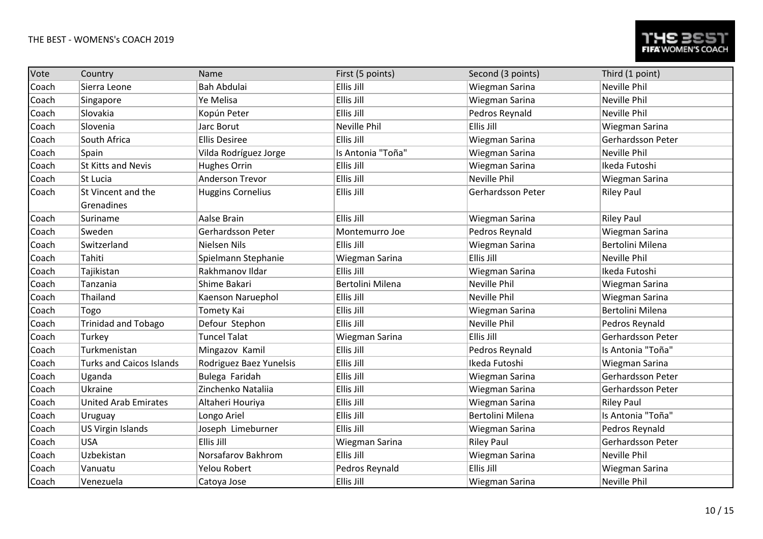| Vote  | Country                          | Name                     | First (5 points)    | Second (3 points)   | Third (1 point)     |
|-------|----------------------------------|--------------------------|---------------------|---------------------|---------------------|
| Coach | Sierra Leone                     | <b>Bah Abdulai</b>       | Ellis Jill          | Wiegman Sarina      | Neville Phil        |
| Coach | Singapore                        | Ye Melisa                | Ellis Jill          | Wiegman Sarina      | Neville Phil        |
| Coach | Slovakia                         | Kopún Peter              | Ellis Jill          | Pedros Reynald      | Neville Phil        |
| Coach | Slovenia                         | Jarc Borut               | <b>Neville Phil</b> | Ellis Jill          | Wiegman Sarina      |
| Coach | South Africa                     | <b>Ellis Desiree</b>     | Ellis Jill          | Wiegman Sarina      | Gerhardsson Peter   |
| Coach | Spain                            | Vilda Rodríguez Jorge    | Is Antonia "Toña"   | Wiegman Sarina      | Neville Phil        |
| Coach | <b>St Kitts and Nevis</b>        | <b>Hughes Orrin</b>      | Ellis Jill          | Wiegman Sarina      | Ikeda Futoshi       |
| Coach | St Lucia                         | <b>Anderson Trevor</b>   | Ellis Jill          | <b>Neville Phil</b> | Wiegman Sarina      |
| Coach | St Vincent and the<br>Grenadines | <b>Huggins Cornelius</b> | Ellis Jill          | Gerhardsson Peter   | <b>Riley Paul</b>   |
| Coach | Suriname                         | Aalse Brain              | Ellis Jill          | Wiegman Sarina      | <b>Riley Paul</b>   |
| Coach | Sweden                           | <b>Gerhardsson Peter</b> | Montemurro Joe      | Pedros Reynald      | Wiegman Sarina      |
| Coach | Switzerland                      | Nielsen Nils             | Ellis Jill          | Wiegman Sarina      | Bertolini Milena    |
| Coach | Tahiti                           | Spielmann Stephanie      | Wiegman Sarina      | Ellis Jill          | Neville Phil        |
| Coach | Tajikistan                       | Rakhmanov Ildar          | Ellis Jill          | Wiegman Sarina      | Ikeda Futoshi       |
| Coach | Tanzania                         | Shime Bakari             | Bertolini Milena    | <b>Neville Phil</b> | Wiegman Sarina      |
| Coach | Thailand                         | Kaenson Naruephol        | Ellis Jill          | <b>Neville Phil</b> | Wiegman Sarina      |
| Coach | Togo                             | Tomety Kai               | Ellis Jill          | Wiegman Sarina      | Bertolini Milena    |
| Coach | <b>Trinidad and Tobago</b>       | Defour Stephon           | Ellis Jill          | <b>Neville Phil</b> | Pedros Reynald      |
| Coach | Turkey                           | <b>Tuncel Talat</b>      | Wiegman Sarina      | Ellis Jill          | Gerhardsson Peter   |
| Coach | Turkmenistan                     | Mingazov Kamil           | Ellis Jill          | Pedros Reynald      | Is Antonia "Toña"   |
| Coach | <b>Turks and Caicos Islands</b>  | Rodriguez Baez Yunelsis  | Ellis Jill          | Ikeda Futoshi       | Wiegman Sarina      |
| Coach | Uganda                           | Bulega Faridah           | Ellis Jill          | Wiegman Sarina      | Gerhardsson Peter   |
| Coach | Ukraine                          | Zinchenko Nataliia       | Ellis Jill          | Wiegman Sarina      | Gerhardsson Peter   |
| Coach | <b>United Arab Emirates</b>      | Altaheri Houriya         | Ellis Jill          | Wiegman Sarina      | <b>Riley Paul</b>   |
| Coach | Uruguay                          | Longo Ariel              | Ellis Jill          | Bertolini Milena    | Is Antonia "Toña"   |
| Coach | US Virgin Islands                | Joseph Limeburner        | Ellis Jill          | Wiegman Sarina      | Pedros Reynald      |
| Coach | <b>USA</b>                       | Ellis Jill               | Wiegman Sarina      | <b>Riley Paul</b>   | Gerhardsson Peter   |
| Coach | Uzbekistan                       | Norsafarov Bakhrom       | Ellis Jill          | Wiegman Sarina      | <b>Neville Phil</b> |
| Coach | Vanuatu                          | Yelou Robert             | Pedros Reynald      | Ellis Jill          | Wiegman Sarina      |
| Coach | Venezuela                        | Catoya Jose              | Ellis Jill          | Wiegman Sarina      | <b>Neville Phil</b> |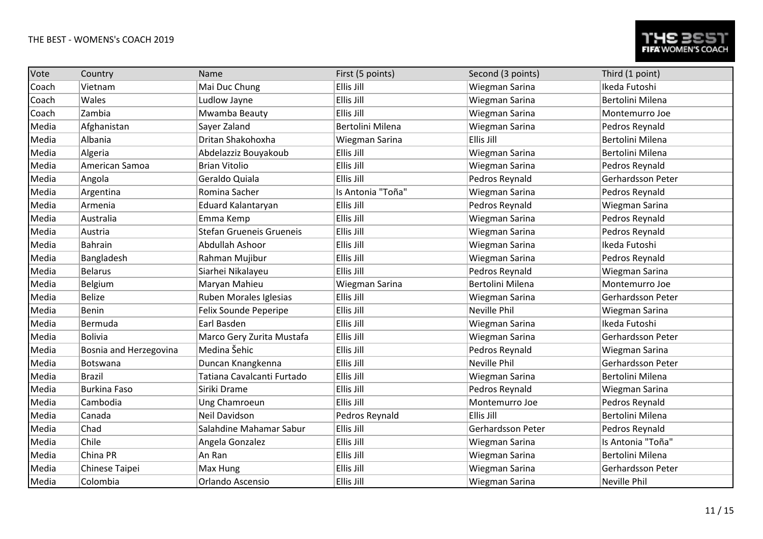| Vote  | Country                | Name                       | First (5 points)  | Second (3 points)   | Third (1 point)   |
|-------|------------------------|----------------------------|-------------------|---------------------|-------------------|
| Coach | Vietnam                | Mai Duc Chung              | Ellis Jill        | Wiegman Sarina      | Ikeda Futoshi     |
| Coach | Wales                  | Ludlow Jayne               | Ellis Jill        | Wiegman Sarina      | Bertolini Milena  |
| Coach | Zambia                 | Mwamba Beauty              | Ellis Jill        | Wiegman Sarina      | Montemurro Joe    |
| Media | Afghanistan            | Sayer Zaland               | Bertolini Milena  | Wiegman Sarina      | Pedros Reynald    |
| Media | Albania                | Dritan Shakohoxha          | Wiegman Sarina    | Ellis Jill          | Bertolini Milena  |
| Media | Algeria                | Abdelazziz Bouyakoub       | Ellis Jill        | Wiegman Sarina      | Bertolini Milena  |
| Media | American Samoa         | <b>Brian Vitolio</b>       | Ellis Jill        | Wiegman Sarina      | Pedros Reynald    |
| Media | Angola                 | Geraldo Quiala             | Ellis Jill        | Pedros Reynald      | Gerhardsson Peter |
| Media | Argentina              | Romina Sacher              | Is Antonia "Toña" | Wiegman Sarina      | Pedros Reynald    |
| Media | Armenia                | Eduard Kalantaryan         | Ellis Jill        | Pedros Reynald      | Wiegman Sarina    |
| Media | Australia              | Emma Kemp                  | Ellis Jill        | Wiegman Sarina      | Pedros Reynald    |
| Media | Austria                | Stefan Grueneis Grueneis   | Ellis Jill        | Wiegman Sarina      | Pedros Reynald    |
| Media | <b>Bahrain</b>         | Abdullah Ashoor            | Ellis Jill        | Wiegman Sarina      | Ikeda Futoshi     |
| Media | Bangladesh             | Rahman Mujibur             | Ellis Jill        | Wiegman Sarina      | Pedros Reynald    |
| Media | <b>Belarus</b>         | Siarhei Nikalayeu          | Ellis Jill        | Pedros Reynald      | Wiegman Sarina    |
| Media | Belgium                | Maryan Mahieu              | Wiegman Sarina    | Bertolini Milena    | Montemurro Joe    |
| Media | Belize                 | Ruben Morales Iglesias     | Ellis Jill        | Wiegman Sarina      | Gerhardsson Peter |
| Media | <b>Benin</b>           | Felix Sounde Peperipe      | Ellis Jill        | Neville Phil        | Wiegman Sarina    |
| Media | Bermuda                | Earl Basden                | Ellis Jill        | Wiegman Sarina      | Ikeda Futoshi     |
| Media | <b>Bolivia</b>         | Marco Gery Zurita Mustafa  | Ellis Jill        | Wiegman Sarina      | Gerhardsson Peter |
| Media | Bosnia and Herzegovina | Medina Šehic               | Ellis Jill        | Pedros Reynald      | Wiegman Sarina    |
| Media | Botswana               | Duncan Knangkenna          | Ellis Jill        | <b>Neville Phil</b> | Gerhardsson Peter |
| Media | <b>Brazil</b>          | Tatiana Cavalcanti Furtado | Ellis Jill        | Wiegman Sarina      | Bertolini Milena  |
| Media | <b>Burkina Faso</b>    | Siriki Drame               | Ellis Jill        | Pedros Reynald      | Wiegman Sarina    |
| Media | Cambodia               | Ung Chamroeun              | Ellis Jill        | Montemurro Joe      | Pedros Reynald    |
| Media | Canada                 | <b>Neil Davidson</b>       | Pedros Reynald    | Ellis Jill          | Bertolini Milena  |
| Media | Chad                   | Salahdine Mahamar Sabur    | Ellis Jill        | Gerhardsson Peter   | Pedros Reynald    |
| Media | Chile                  | Angela Gonzalez            | Ellis Jill        | Wiegman Sarina      | Is Antonia "Toña" |
| Media | China PR               | An Ran                     | Ellis Jill        | Wiegman Sarina      | Bertolini Milena  |
| Media | Chinese Taipei         | Max Hung                   | Ellis Jill        | Wiegman Sarina      | Gerhardsson Peter |
| Media | Colombia               | Orlando Ascensio           | Ellis Jill        | Wiegman Sarina      | Neville Phil      |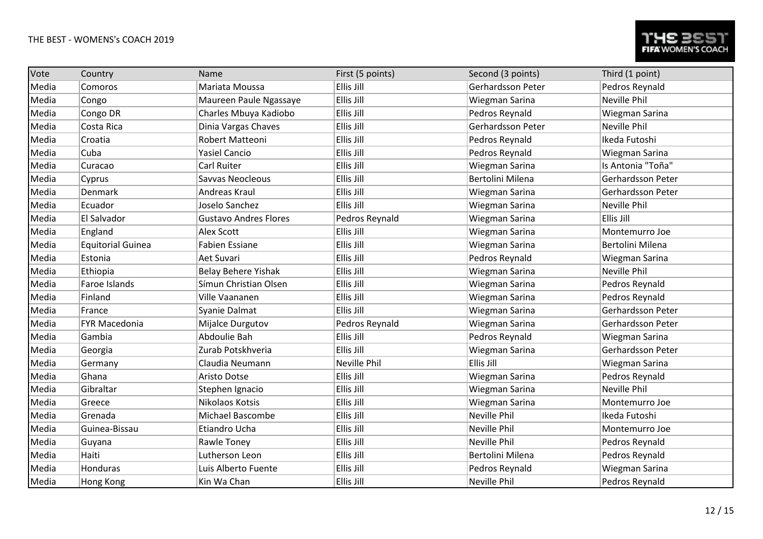| Vote  | Country                  | Name                         | First (5 points) | Second (3 points)   | Third (1 point)     |
|-------|--------------------------|------------------------------|------------------|---------------------|---------------------|
| Media | Comoros                  | Mariata Moussa               | Ellis Jill       | Gerhardsson Peter   | Pedros Reynald      |
| Media | Congo                    | Maureen Paule Ngassaye       | Ellis Jill       | Wiegman Sarina      | <b>Neville Phil</b> |
| Media | Congo DR                 | Charles Mbuya Kadiobo        | Ellis Jill       | Pedros Reynald      | Wiegman Sarina      |
| Media | Costa Rica               | Dinia Vargas Chaves          | Ellis Jill       | Gerhardsson Peter   | Neville Phil        |
| Media | Croatia                  | Robert Matteoni              | Ellis Jill       | Pedros Reynald      | Ikeda Futoshi       |
| Media | Cuba                     | <b>Yasiel Cancio</b>         | Ellis Jill       | Pedros Reynald      | Wiegman Sarina      |
| Media | Curacao                  | Carl Ruiter                  | Ellis Jill       | Wiegman Sarina      | Is Antonia "Toña"   |
| Media | Cyprus                   | Savvas Neocleous             | Ellis Jill       | Bertolini Milena    | Gerhardsson Peter   |
| Media | Denmark                  | Andreas Kraul                | Ellis Jill       | Wiegman Sarina      | Gerhardsson Peter   |
| Media | Ecuador                  | Joselo Sanchez               | Ellis Jill       | Wiegman Sarina      | Neville Phil        |
| Media | El Salvador              | <b>Gustavo Andres Flores</b> | Pedros Reynald   | Wiegman Sarina      | Ellis Jill          |
| Media | England                  | Alex Scott                   | Ellis Jill       | Wiegman Sarina      | Montemurro Joe      |
| Media | <b>Equitorial Guinea</b> | Fabien Essiane               | Ellis Jill       | Wiegman Sarina      | Bertolini Milena    |
| Media | Estonia                  | Aet Suvari                   | Ellis Jill       | Pedros Reynald      | Wiegman Sarina      |
| Media | Ethiopia                 | Belay Behere Yishak          | Ellis Jill       | Wiegman Sarina      | <b>Neville Phil</b> |
| Media | Faroe Islands            | Símun Christian Olsen        | Ellis Jill       | Wiegman Sarina      | Pedros Reynald      |
| Media | Finland                  | Ville Vaananen               | Ellis Jill       | Wiegman Sarina      | Pedros Reynald      |
| Media | France                   | Syanie Dalmat                | Ellis Jill       | Wiegman Sarina      | Gerhardsson Peter   |
| Media | <b>FYR Macedonia</b>     | Mijalce Durgutov             | Pedros Reynald   | Wiegman Sarina      | Gerhardsson Peter   |
| Media | Gambia                   | Abdoulie Bah                 | Ellis Jill       | Pedros Reynald      | Wiegman Sarina      |
| Media | Georgia                  | Zurab Potskhveria            | Ellis Jill       | Wiegman Sarina      | Gerhardsson Peter   |
| Media | Germany                  | Claudia Neumann              | Neville Phil     | Ellis Jill          | Wiegman Sarina      |
| Media | Ghana                    | <b>Aristo Dotse</b>          | Ellis Jill       | Wiegman Sarina      | Pedros Reynald      |
| Media | Gibraltar                | Stephen Ignacio              | Ellis Jill       | Wiegman Sarina      | <b>Neville Phil</b> |
| Media | Greece                   | Nikolaos Kotsis              | Ellis Jill       | Wiegman Sarina      | Montemurro Joe      |
| Media | Grenada                  | Michael Bascombe             | Ellis Jill       | Neville Phil        | Ikeda Futoshi       |
| Media | Guinea-Bissau            | Etiandro Ucha                | Ellis Jill       | Neville Phil        | Montemurro Joe      |
| Media | Guyana                   | Rawle Toney                  | Ellis Jill       | <b>Neville Phil</b> | Pedros Reynald      |
| Media | Haiti                    | Lutherson Leon               | Ellis Jill       | Bertolini Milena    | Pedros Reynald      |
| Media | Honduras                 | Luis Alberto Fuente          | Ellis Jill       | Pedros Reynald      | Wiegman Sarina      |
| Media | Hong Kong                | Kin Wa Chan                  | Ellis Jill       | Neville Phil        | Pedros Reynald      |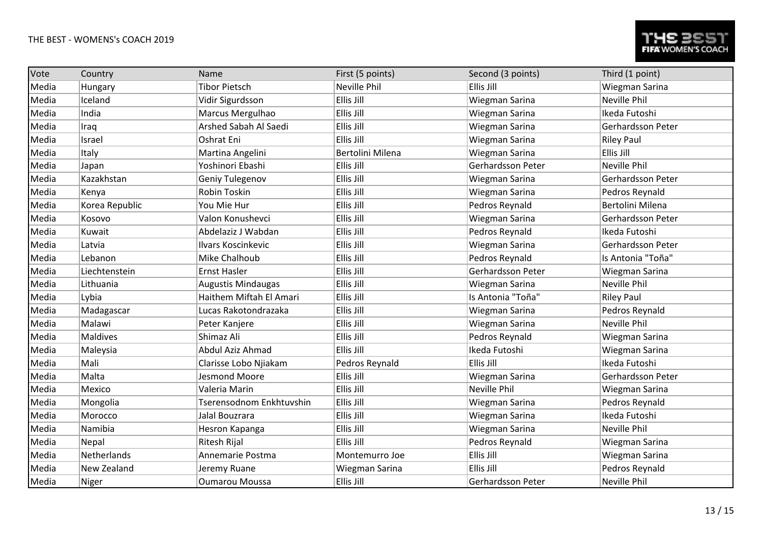| Vote  | Country            | Name                      | First (5 points)    | Second (3 points)   | Third (1 point)     |
|-------|--------------------|---------------------------|---------------------|---------------------|---------------------|
| Media | Hungary            | <b>Tibor Pietsch</b>      | <b>Neville Phil</b> | Ellis Jill          | Wiegman Sarina      |
| Media | Iceland            | Vidir Sigurdsson          | Ellis Jill          | Wiegman Sarina      | <b>Neville Phil</b> |
| Media | India              | Marcus Mergulhao          | Ellis Jill          | Wiegman Sarina      | Ikeda Futoshi       |
| Media | Iraq               | Arshed Sabah Al Saedi     | Ellis Jill          | Wiegman Sarina      | Gerhardsson Peter   |
| Media | Israel             | Oshrat Eni                | Ellis Jill          | Wiegman Sarina      | <b>Riley Paul</b>   |
| Media | Italy              | Martina Angelini          | Bertolini Milena    | Wiegman Sarina      | Ellis Jill          |
| Media | Japan              | Yoshinori Ebashi          | Ellis Jill          | Gerhardsson Peter   | <b>Neville Phil</b> |
| Media | Kazakhstan         | Geniy Tulegenov           | Ellis Jill          | Wiegman Sarina      | Gerhardsson Peter   |
| Media | Kenya              | Robin Toskin              | Ellis Jill          | Wiegman Sarina      | Pedros Reynald      |
| Media | Korea Republic     | You Mie Hur               | Ellis Jill          | Pedros Reynald      | Bertolini Milena    |
| Media | Kosovo             | Valon Konushevci          | Ellis Jill          | Wiegman Sarina      | Gerhardsson Peter   |
| Media | Kuwait             | Abdelaziz J Wabdan        | Ellis Jill          | Pedros Reynald      | Ikeda Futoshi       |
| Media | Latvia             | Ilvars Koscinkevic        | Ellis Jill          | Wiegman Sarina      | Gerhardsson Peter   |
| Media | Lebanon            | Mike Chalhoub             | Ellis Jill          | Pedros Reynald      | Is Antonia "Toña"   |
| Media | Liechtenstein      | <b>Ernst Hasler</b>       | Ellis Jill          | Gerhardsson Peter   | Wiegman Sarina      |
| Media | Lithuania          | <b>Augustis Mindaugas</b> | Ellis Jill          | Wiegman Sarina      | <b>Neville Phil</b> |
| Media | Lybia              | Haithem Miftah El Amari   | Ellis Jill          | Is Antonia "Toña"   | <b>Riley Paul</b>   |
| Media | Madagascar         | Lucas Rakotondrazaka      | Ellis Jill          | Wiegman Sarina      | Pedros Reynald      |
| Media | Malawi             | Peter Kanjere             | Ellis Jill          | Wiegman Sarina      | Neville Phil        |
| Media | <b>Maldives</b>    | Shimaz Ali                | Ellis Jill          | Pedros Reynald      | Wiegman Sarina      |
| Media | Maleysia           | Abdul Aziz Ahmad          | Ellis Jill          | Ikeda Futoshi       | Wiegman Sarina      |
| Media | Mali               | Clarisse Lobo Njiakam     | Pedros Reynald      | Ellis Jill          | Ikeda Futoshi       |
| Media | Malta              | Jesmond Moore             | Ellis Jill          | Wiegman Sarina      | Gerhardsson Peter   |
| Media | Mexico             | Valeria Marin             | Ellis Jill          | <b>Neville Phil</b> | Wiegman Sarina      |
| Media | Mongolia           | Tserensodnom Enkhtuvshin  | Ellis Jill          | Wiegman Sarina      | Pedros Reynald      |
| Media | Morocco            | Jalal Bouzrara            | Ellis Jill          | Wiegman Sarina      | Ikeda Futoshi       |
| Media | Namibia            | Hesron Kapanga            | Ellis Jill          | Wiegman Sarina      | <b>Neville Phil</b> |
| Media | Nepal              | <b>Ritesh Rijal</b>       | Ellis Jill          | Pedros Reynald      | Wiegman Sarina      |
| Media | Netherlands        | Annemarie Postma          | Montemurro Joe      | Ellis Jill          | Wiegman Sarina      |
| Media | <b>New Zealand</b> | Jeremy Ruane              | Wiegman Sarina      | Ellis Jill          | Pedros Reynald      |
| Media | Niger              | <b>Oumarou Moussa</b>     | Ellis Jill          | Gerhardsson Peter   | <b>Neville Phil</b> |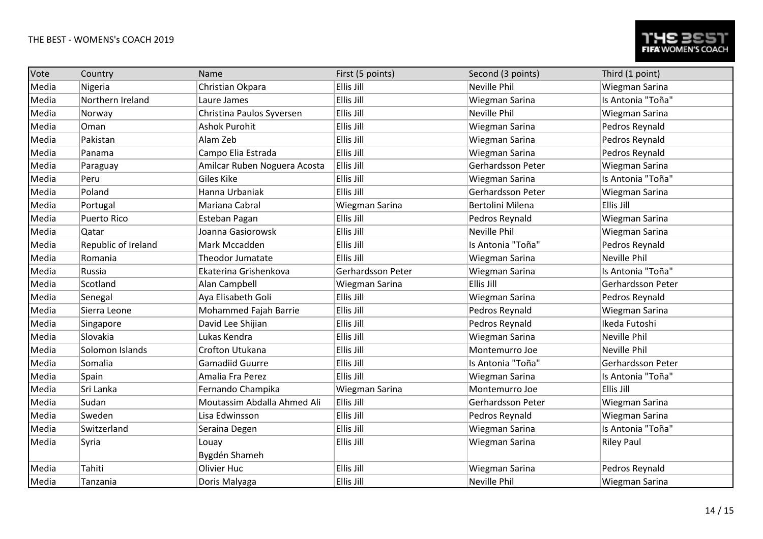| Vote  | Country             | Name                         | First (5 points)  | Second (3 points)   | Third (1 point)     |
|-------|---------------------|------------------------------|-------------------|---------------------|---------------------|
| Media | Nigeria             | Christian Okpara             | Ellis Jill        | <b>Neville Phil</b> | Wiegman Sarina      |
| Media | Northern Ireland    | Laure James                  | Ellis Jill        | Wiegman Sarina      | Is Antonia "Toña"   |
| Media | Norway              | Christina Paulos Syversen    | Ellis Jill        | Neville Phil        | Wiegman Sarina      |
| Media | Oman                | <b>Ashok Purohit</b>         | Ellis Jill        | Wiegman Sarina      | Pedros Reynald      |
| Media | Pakistan            | Alam Zeb                     | Ellis Jill        | Wiegman Sarina      | Pedros Reynald      |
| Media | Panama              | Campo Elia Estrada           | Ellis Jill        | Wiegman Sarina      | Pedros Reynald      |
| Media | Paraguay            | Amilcar Ruben Noguera Acosta | Ellis Jill        | Gerhardsson Peter   | Wiegman Sarina      |
| Media | Peru                | Giles Kike                   | Ellis Jill        | Wiegman Sarina      | Is Antonia "Toña"   |
| Media | Poland              | Hanna Urbaniak               | Ellis Jill        | Gerhardsson Peter   | Wiegman Sarina      |
| Media | Portugal            | Mariana Cabral               | Wiegman Sarina    | Bertolini Milena    | Ellis Jill          |
| Media | <b>Puerto Rico</b>  | Esteban Pagan                | Ellis Jill        | Pedros Reynald      | Wiegman Sarina      |
| Media | Qatar               | Joanna Gasiorowsk            | Ellis Jill        | Neville Phil        | Wiegman Sarina      |
| Media | Republic of Ireland | Mark Mccadden                | Ellis Jill        | Is Antonia "Toña"   | Pedros Reynald      |
| Media | Romania             | <b>Theodor Jumatate</b>      | Ellis Jill        | Wiegman Sarina      | Neville Phil        |
| Media | Russia              | Ekaterina Grishenkova        | Gerhardsson Peter | Wiegman Sarina      | Is Antonia "Toña"   |
| Media | Scotland            | Alan Campbell                | Wiegman Sarina    | Ellis Jill          | Gerhardsson Peter   |
| Media | Senegal             | Aya Elisabeth Goli           | Ellis Jill        | Wiegman Sarina      | Pedros Reynald      |
| Media | Sierra Leone        | Mohammed Fajah Barrie        | Ellis Jill        | Pedros Reynald      | Wiegman Sarina      |
| Media | Singapore           | David Lee Shijian            | Ellis Jill        | Pedros Reynald      | Ikeda Futoshi       |
| Media | Slovakia            | Lukas Kendra                 | Ellis Jill        | Wiegman Sarina      | Neville Phil        |
| Media | Solomon Islands     | Crofton Utukana              | Ellis Jill        | Montemurro Joe      | <b>Neville Phil</b> |
| Media | Somalia             | <b>Gamadiid Guurre</b>       | Ellis Jill        | Is Antonia "Toña"   | Gerhardsson Peter   |
| Media | Spain               | Amalia Fra Perez             | Ellis Jill        | Wiegman Sarina      | Is Antonia "Toña"   |
| Media | Sri Lanka           | Fernando Champika            | Wiegman Sarina    | Montemurro Joe      | Ellis Jill          |
| Media | Sudan               | Moutassim Abdalla Ahmed Ali  | Ellis Jill        | Gerhardsson Peter   | Wiegman Sarina      |
| Media | Sweden              | Lisa Edwinsson               | Ellis Jill        | Pedros Reynald      | Wiegman Sarina      |
| Media | Switzerland         | Seraina Degen                | Ellis Jill        | Wiegman Sarina      | Is Antonia "Toña"   |
| Media | Syria               | Louay                        | Ellis Jill        | Wiegman Sarina      | <b>Riley Paul</b>   |
|       |                     | Bygdén Shameh                |                   |                     |                     |
| Media | Tahiti              | Olivier Huc                  | Ellis Jill        | Wiegman Sarina      | Pedros Reynald      |
| Media | Tanzania            | Doris Malyaga                | Ellis Jill        | <b>Neville Phil</b> | Wiegman Sarina      |